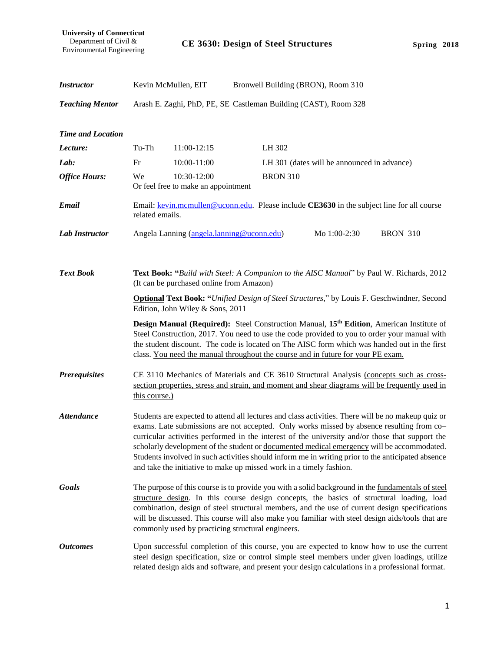**University of Connecticut** Department of Civil & Environmental Engineering

| <i><b>Instructor</b></i> |                                                                                                                                                                                                                                                                                                                                                                                                                                                                                                                                                                              | Kevin McMullen, EIT                                |  |                 | Bronwell Building (BRON), Room 310          |                                                                                                                                                                                                                                                                                                  |  |
|--------------------------|------------------------------------------------------------------------------------------------------------------------------------------------------------------------------------------------------------------------------------------------------------------------------------------------------------------------------------------------------------------------------------------------------------------------------------------------------------------------------------------------------------------------------------------------------------------------------|----------------------------------------------------|--|-----------------|---------------------------------------------|--------------------------------------------------------------------------------------------------------------------------------------------------------------------------------------------------------------------------------------------------------------------------------------------------|--|
| <b>Teaching Mentor</b>   | Arash E. Zaghi, PhD, PE, SE Castleman Building (CAST), Room 328                                                                                                                                                                                                                                                                                                                                                                                                                                                                                                              |                                                    |  |                 |                                             |                                                                                                                                                                                                                                                                                                  |  |
| <b>Time and Location</b> |                                                                                                                                                                                                                                                                                                                                                                                                                                                                                                                                                                              |                                                    |  |                 |                                             |                                                                                                                                                                                                                                                                                                  |  |
| Lecture:                 | Tu-Th                                                                                                                                                                                                                                                                                                                                                                                                                                                                                                                                                                        | 11:00-12:15                                        |  | LH 302          |                                             |                                                                                                                                                                                                                                                                                                  |  |
| Lab:                     | Fr                                                                                                                                                                                                                                                                                                                                                                                                                                                                                                                                                                           | 10:00-11:00                                        |  |                 | LH 301 (dates will be announced in advance) |                                                                                                                                                                                                                                                                                                  |  |
| <b>Office Hours:</b>     | We                                                                                                                                                                                                                                                                                                                                                                                                                                                                                                                                                                           | 10:30-12:00<br>Or feel free to make an appointment |  | <b>BRON 310</b> |                                             |                                                                                                                                                                                                                                                                                                  |  |
| <b>Email</b>             | Email: kevin.mcmullen@uconn.edu. Please include CE3630 in the subject line for all course<br>related emails.                                                                                                                                                                                                                                                                                                                                                                                                                                                                 |                                                    |  |                 |                                             |                                                                                                                                                                                                                                                                                                  |  |
| <b>Lab Instructor</b>    |                                                                                                                                                                                                                                                                                                                                                                                                                                                                                                                                                                              | Angela Lanning (angela.lanning@uconn.edu)          |  |                 | Mo 1:00-2:30                                | <b>BRON 310</b>                                                                                                                                                                                                                                                                                  |  |
| <b>Text Book</b>         | Text Book: "Build with Steel: A Companion to the AISC Manual" by Paul W. Richards, 2012<br>(It can be purchased online from Amazon)<br><b>Optional Text Book: "Unified Design of Steel Structures," by Louis F. Geschwindner, Second</b>                                                                                                                                                                                                                                                                                                                                     |                                                    |  |                 |                                             |                                                                                                                                                                                                                                                                                                  |  |
|                          | Edition, John Wiley & Sons, 2011                                                                                                                                                                                                                                                                                                                                                                                                                                                                                                                                             |                                                    |  |                 |                                             |                                                                                                                                                                                                                                                                                                  |  |
|                          | Design Manual (Required): Steel Construction Manual, 15 <sup>th</sup> Edition, American Institute of<br>Steel Construction, 2017. You need to use the code provided to you to order your manual with<br>the student discount. The code is located on The AISC form which was handed out in the first<br>class. You need the manual throughout the course and in future for your PE exam.                                                                                                                                                                                     |                                                    |  |                 |                                             |                                                                                                                                                                                                                                                                                                  |  |
| <b>Prerequisites</b>     | CE 3110 Mechanics of Materials and CE 3610 Structural Analysis (concepts such as cross-<br>section properties, stress and strain, and moment and shear diagrams will be frequently used in<br>this course.)                                                                                                                                                                                                                                                                                                                                                                  |                                                    |  |                 |                                             |                                                                                                                                                                                                                                                                                                  |  |
| <b>Attendance</b>        | Students are expected to attend all lectures and class activities. There will be no makeup quiz or<br>exams. Late submissions are not accepted. Only works missed by absence resulting from co-<br>curricular activities performed in the interest of the university and/or those that support the<br>scholarly development of the student or documented medical emergency will be accommodated.<br>Students involved in such activities should inform me in writing prior to the anticipated absence<br>and take the initiative to make up missed work in a timely fashion. |                                                    |  |                 |                                             |                                                                                                                                                                                                                                                                                                  |  |
| Goals                    | The purpose of this course is to provide you with a solid background in the fundamentals of steel<br>structure design. In this course design concepts, the basics of structural loading, load<br>combination, design of steel structural members, and the use of current design specifications<br>will be discussed. This course will also make you familiar with steel design aids/tools that are<br>commonly used by practicing structural engineers.                                                                                                                      |                                                    |  |                 |                                             |                                                                                                                                                                                                                                                                                                  |  |
| <b>Outcomes</b>          |                                                                                                                                                                                                                                                                                                                                                                                                                                                                                                                                                                              |                                                    |  |                 |                                             | Upon successful completion of this course, you are expected to know how to use the current<br>steel design specification, size or control simple steel members under given loadings, utilize<br>related design aids and software, and present your design calculations in a professional format. |  |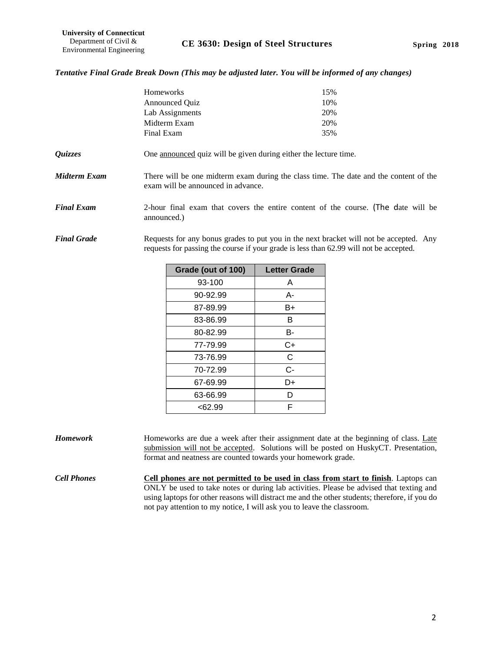#### *Tentative Final Grade Break Down (This may be adjusted later. You will be informed of any changes)*

|                    | Homeworks                                                                                                                                                                        | 15%<br>10% |  |  |
|--------------------|----------------------------------------------------------------------------------------------------------------------------------------------------------------------------------|------------|--|--|
|                    | <b>Announced Quiz</b>                                                                                                                                                            |            |  |  |
|                    | Lab Assignments                                                                                                                                                                  | 20%        |  |  |
|                    | Midterm Exam                                                                                                                                                                     | 20%        |  |  |
|                    | Final Exam                                                                                                                                                                       | 35%        |  |  |
| Quizzes            | One announced quiz will be given during either the lecture time.                                                                                                                 |            |  |  |
| Midterm Exam       | There will be one midterm exam during the class time. The date and the content of the<br>exam will be announced in advance.                                                      |            |  |  |
| <b>Final Exam</b>  | 2-hour final exam that covers the entire content of the course. (The date will be<br>announced.)                                                                                 |            |  |  |
| <b>Final Grade</b> | Requests for any bonus grades to put you in the next bracket will not be accepted. Any<br>requests for passing the course if your grade is less than 62.99 will not be accepted. |            |  |  |

| Grade (out of 100) | <b>Letter Grade</b> |
|--------------------|---------------------|
| 93-100             | A                   |
| 90-92.99           | А-                  |
| 87-89.99           | B+                  |
| 83-86.99           | в                   |
| 80-82.99           | В-                  |
| 77-79.99           | C+                  |
| 73-76.99           | C                   |
| 70-72.99           | $C-$                |
| 67-69.99           | D+                  |
| 63-66.99           | D                   |
| <62.99             | F                   |

*Homework* Homeworks are due a week after their assignment date at the beginning of class. Late submission will not be accepted. Solutions will be posted on HuskyCT. Presentation, format and neatness are counted towards your homework grade.

*Cell Phones* **Cell phones are not permitted to be used in class from start to finish**. Laptops can ONLY be used to take notes or during lab activities. Please be advised that texting and using laptops for other reasons will distract me and the other students; therefore, if you do not pay attention to my notice, I will ask you to leave the classroom.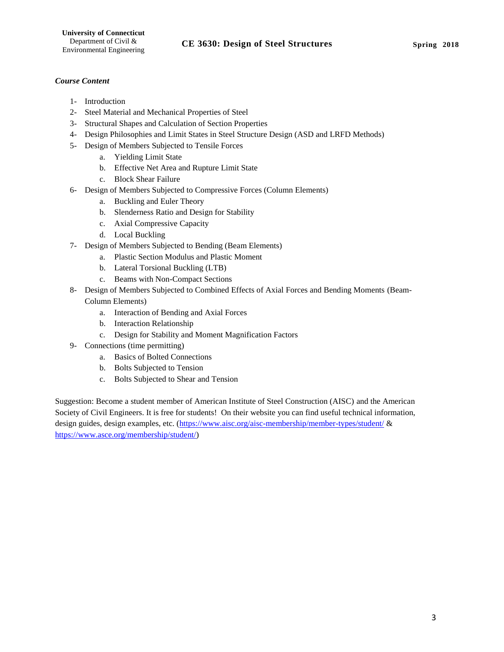## *Course Content*

- 1- Introduction
- 2- Steel Material and Mechanical Properties of Steel
- 3- Structural Shapes and Calculation of Section Properties
- 4- Design Philosophies and Limit States in Steel Structure Design (ASD and LRFD Methods)
- 5- Design of Members Subjected to Tensile Forces
	- a. Yielding Limit State
	- b. Effective Net Area and Rupture Limit State
	- c. Block Shear Failure
- 6- Design of Members Subjected to Compressive Forces (Column Elements)
	- a. Buckling and Euler Theory
	- b. Slenderness Ratio and Design for Stability
	- c. Axial Compressive Capacity
	- d. Local Buckling
- 7- Design of Members Subjected to Bending (Beam Elements)
	- a. Plastic Section Modulus and Plastic Moment
	- b. Lateral Torsional Buckling (LTB)
	- c. Beams with Non-Compact Sections
- 8- Design of Members Subjected to Combined Effects of Axial Forces and Bending Moments (Beam-Column Elements)
	- a. Interaction of Bending and Axial Forces
	- b. Interaction Relationship
	- c. Design for Stability and Moment Magnification Factors
- 9- Connections (time permitting)
	- a. Basics of Bolted Connections
	- b. Bolts Subjected to Tension
	- c. Bolts Subjected to Shear and Tension

Suggestion: Become a student member of American Institute of Steel Construction (AISC) and the American Society of Civil Engineers. It is free for students! On their website you can find useful technical information, design guides, design examples, etc. [\(https://www.aisc.org/aisc-membership/member-types/student/](https://www.aisc.org/aisc-membership/member-types/student/) & [https://www.asce.org/membership/student/\)](https://www.asce.org/membership/student/)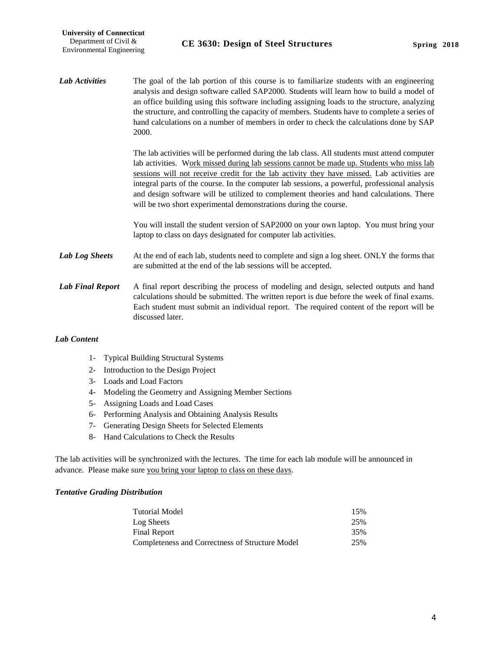Lab Activities The goal of the lab portion of this course is to familiarize students with an engineering analysis and design software called SAP2000. Students will learn how to build a model of an office building using this software including assigning loads to the structure, analyzing the structure, and controlling the capacity of members. Students have to complete a series of hand calculations on a number of members in order to check the calculations done by SAP 2000.

> The lab activities will be performed during the lab class. All students must attend computer lab activities. Work missed during lab sessions cannot be made up. Students who miss lab sessions will not receive credit for the lab activity they have missed. Lab activities are integral parts of the course. In the computer lab sessions, a powerful, professional analysis and design software will be utilized to complement theories and hand calculations. There will be two short experimental demonstrations during the course.

> You will install the student version of SAP2000 on your own laptop. You must bring your laptop to class on days designated for computer lab activities.

- Lab Log Sheets At the end of each lab, students need to complete and sign a log sheet. ONLY the forms that are submitted at the end of the lab sessions will be accepted.
- Lab Final Report A final report describing the process of modeling and design, selected outputs and hand calculations should be submitted. The written report is due before the week of final exams. Each student must submit an individual report. The required content of the report will be discussed later.

#### *Lab Content*

- 1- Typical Building Structural Systems
- 2- Introduction to the Design Project
- 3- Loads and Load Factors
- 4- Modeling the Geometry and Assigning Member Sections
- 5- Assigning Loads and Load Cases
- 6- Performing Analysis and Obtaining Analysis Results
- 7- Generating Design Sheets for Selected Elements
- 8- Hand Calculations to Check the Results

The lab activities will be synchronized with the lectures. The time for each lab module will be announced in advance. Please make sure you bring your laptop to class on these days.

#### *Tentative Grading Distribution*

| Tutorial Model                                  | 15% |
|-------------------------------------------------|-----|
| Log Sheets                                      | 25% |
| Final Report                                    | 35% |
| Completeness and Correctness of Structure Model | 25% |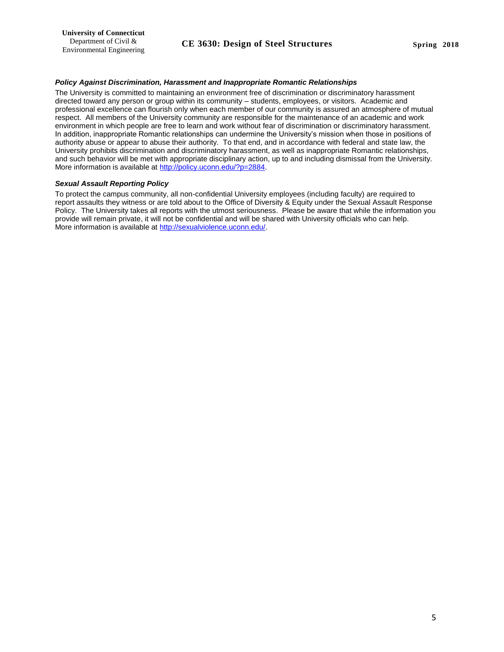#### *Policy Against Discrimination, Harassment and Inappropriate Romantic Relationships*

The University is committed to maintaining an environment free of discrimination or discriminatory harassment directed toward any person or group within its community – students, employees, or visitors. Academic and professional excellence can flourish only when each member of our community is assured an atmosphere of mutual respect. All members of the University community are responsible for the maintenance of an academic and work environment in which people are free to learn and work without fear of discrimination or discriminatory harassment. In addition, inappropriate Romantic relationships can undermine the University's mission when those in positions of authority abuse or appear to abuse their authority. To that end, and in accordance with federal and state law, the University prohibits discrimination and discriminatory harassment, as well as inappropriate Romantic relationships, and such behavior will be met with appropriate disciplinary action, up to and including dismissal from the University. More information is available at [http://policy.uconn.edu/?p=2884.](http://policy.uconn.edu/?p=2884)

#### *Sexual Assault Reporting Policy*

To protect the campus community, all non-confidential University employees (including faculty) are required to report assaults they witness or are told about to the Office of Diversity & Equity under the Sexual Assault Response Policy. The University takes all reports with the utmost seriousness. Please be aware that while the information you provide will remain private, it will not be confidential and will be shared with University officials who can help. More information is available at [http://sexualviolence.uconn.edu/.](http://sexualviolence.uconn.edu/)